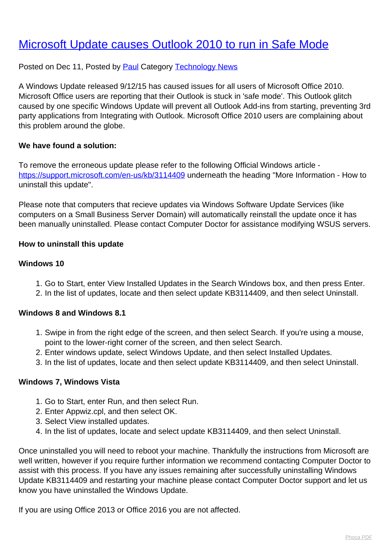# [Microsoft Update causes Outlook 2010 to run in Safe Mode](http://www.computerdoctor.com.au/news/microsoft-update-causes-outlook-2010-to-run-in-safe-mode)

# Posted on Dec 11, Posted by [Paul](http://www.computerdoctor.com.au/news/blogger/listings/paul) Category [Technology News](http://www.computerdoctor.com.au/news/categories/technology-news)

A Windows Update released 9/12/15 has caused issues for all users of Microsoft Office 2010. Microsoft Office users are reporting that their Outlook is stuck in 'safe mode'. This Outlook glitch caused by one specific Windows Update will prevent all Outlook Add-ins from starting, preventing 3rd party applications from Integrating with Outlook. Microsoft Office 2010 users are complaining about this problem around the globe.

# **We have found a solution:**

To remove the erroneous update please refer to the following Official Windows article <https://support.microsoft.com/en-us/kb/3114409>underneath the heading "More Information - How to uninstall this update".

Please note that computers that recieve updates via Windows Software Update Services (like computers on a Small Business Server Domain) will automatically reinstall the update once it has been manually uninstalled. Please contact Computer Doctor for assistance modifying WSUS servers.

## **How to uninstall this update**

### **Windows 10**

- 1. Go to Start, enter View Installed Updates in the Search Windows box, and then press Enter.
- 2. In the list of updates, locate and then select update KB3114409, and then select Uninstall.

### **Windows 8 and Windows 8.1**

- 1. Swipe in from the right edge of the screen, and then select Search. If you're using a mouse, point to the lower-right corner of the screen, and then select Search.
- 2. Enter windows update, select Windows Update, and then select Installed Updates.
- 3. In the list of updates, locate and then select update KB3114409, and then select Uninstall.

### **Windows 7, Windows Vista**

- 1. Go to Start, enter Run, and then select Run.
- 2. Enter Appwiz.cpl, and then select OK.
- 3. Select View installed updates.
- 4. In the list of updates, locate and select update KB3114409, and then select Uninstall.

Once uninstalled you will need to reboot your machine. Thankfully the instructions from Microsoft are well written, however if you require further information we recommend contacting Computer Doctor to assist with this process. If you have any issues remaining after successfully uninstalling Windows Update KB3114409 and restarting your machine please contact Computer Doctor support and let us know you have uninstalled the Windows Update.

If you are using Office 2013 or Office 2016 you are not affected.